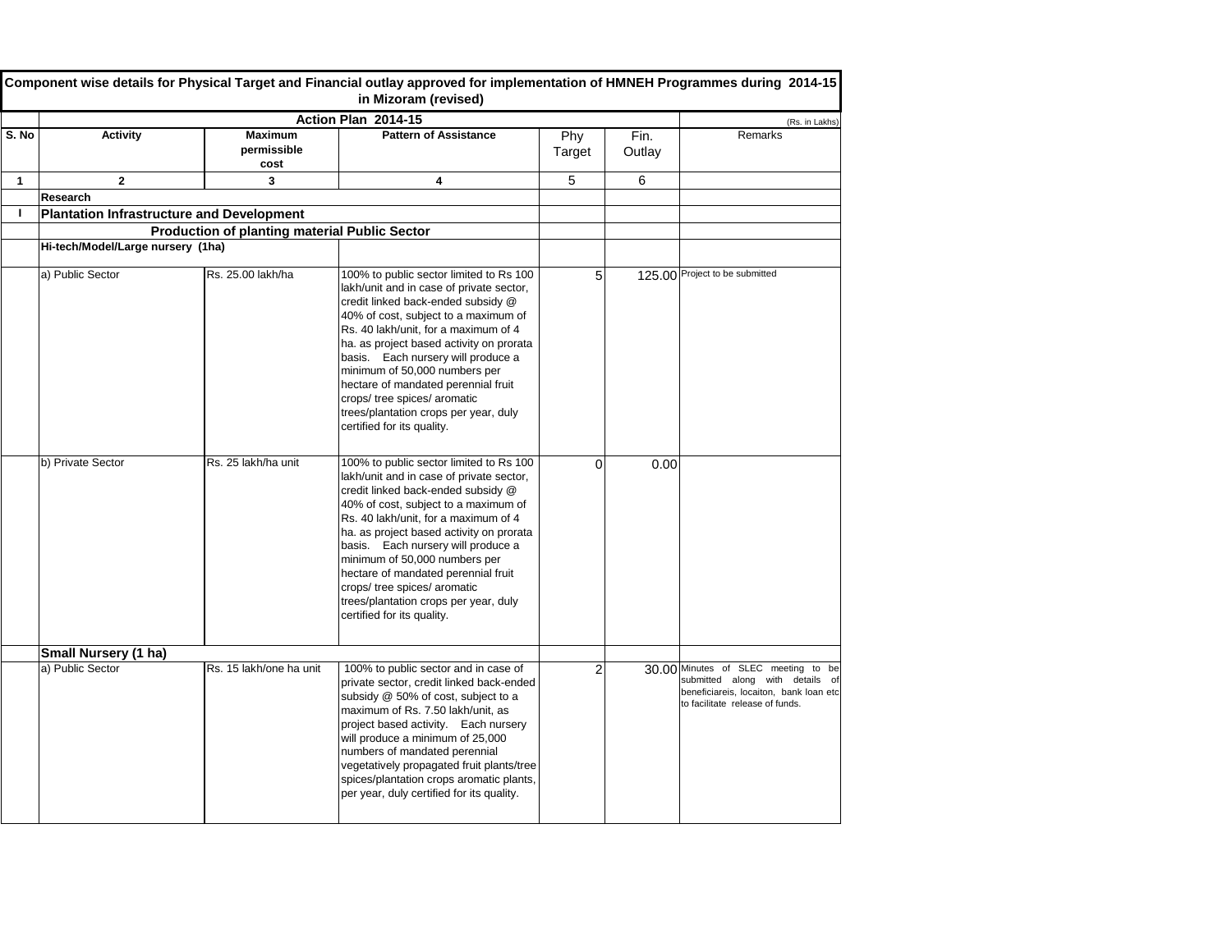|             |                                   |                                                      | Component wise details for Physical Target and Financial outlay approved for implementation of HMNEH Programmes during 2014-15<br>in Mizoram (revised)                                                                                                                                                                                                                                                                                                                     |               |                |                                                                                                                                                     |
|-------------|-----------------------------------|------------------------------------------------------|----------------------------------------------------------------------------------------------------------------------------------------------------------------------------------------------------------------------------------------------------------------------------------------------------------------------------------------------------------------------------------------------------------------------------------------------------------------------------|---------------|----------------|-----------------------------------------------------------------------------------------------------------------------------------------------------|
|             |                                   |                                                      | Action Plan 2014-15                                                                                                                                                                                                                                                                                                                                                                                                                                                        |               |                | (Rs. in Lakhs)                                                                                                                                      |
| S. No       | <b>Activity</b>                   | <b>Maximum</b><br>permissible<br>cost                | <b>Pattern of Assistance</b>                                                                                                                                                                                                                                                                                                                                                                                                                                               | Phy<br>Target | Fin.<br>Outlay | Remarks                                                                                                                                             |
| $\mathbf 1$ | $\overline{2}$                    | 3                                                    | 4                                                                                                                                                                                                                                                                                                                                                                                                                                                                          | 5             | 6              |                                                                                                                                                     |
|             | <b>Research</b>                   |                                                      |                                                                                                                                                                                                                                                                                                                                                                                                                                                                            |               |                |                                                                                                                                                     |
|             |                                   | <b>Plantation Infrastructure and Development</b>     |                                                                                                                                                                                                                                                                                                                                                                                                                                                                            |               |                |                                                                                                                                                     |
|             |                                   | <b>Production of planting material Public Sector</b> |                                                                                                                                                                                                                                                                                                                                                                                                                                                                            |               |                |                                                                                                                                                     |
|             | Hi-tech/Model/Large nursery (1ha) |                                                      |                                                                                                                                                                                                                                                                                                                                                                                                                                                                            |               |                |                                                                                                                                                     |
|             | a) Public Sector                  | Rs. 25.00 lakh/ha                                    | 100% to public sector limited to Rs 100<br>lakh/unit and in case of private sector,<br>credit linked back-ended subsidy @<br>40% of cost, subject to a maximum of<br>Rs. 40 lakh/unit, for a maximum of 4<br>ha. as project based activity on prorata<br>basis. Each nursery will produce a<br>minimum of 50,000 numbers per<br>hectare of mandated perennial fruit<br>crops/ tree spices/ aromatic<br>trees/plantation crops per year, duly<br>certified for its quality. |               |                | 125.00 Project to be submitted                                                                                                                      |
|             | b) Private Sector                 | Rs. 25 lakh/ha unit                                  | 100% to public sector limited to Rs 100<br>lakh/unit and in case of private sector,<br>credit linked back-ended subsidy @<br>40% of cost, subject to a maximum of<br>Rs. 40 lakh/unit, for a maximum of 4<br>ha. as project based activity on prorata<br>basis. Each nursery will produce a<br>minimum of 50,000 numbers per<br>hectare of mandated perennial fruit<br>crops/ tree spices/ aromatic<br>trees/plantation crops per year, duly<br>certified for its quality. |               | 0.00           |                                                                                                                                                     |
|             | <b>Small Nursery (1 ha)</b>       |                                                      |                                                                                                                                                                                                                                                                                                                                                                                                                                                                            |               |                |                                                                                                                                                     |
|             | a) Public Sector                  | Rs. 15 lakh/one ha unit                              | 100% to public sector and in case of<br>private sector, credit linked back-ended<br>subsidy @ 50% of cost, subject to a<br>maximum of Rs. 7.50 lakh/unit, as<br>project based activity. Each nursery<br>will produce a minimum of 25,000<br>numbers of mandated perennial<br>vegetatively propagated fruit plants/tree<br>spices/plantation crops aromatic plants,<br>per year, duly certified for its quality.                                                            |               |                | 30.00 Minutes of SLEC meeting to be<br>submitted along with details of<br>beneficiareis, locaiton, bank loan etc<br>to facilitate release of funds. |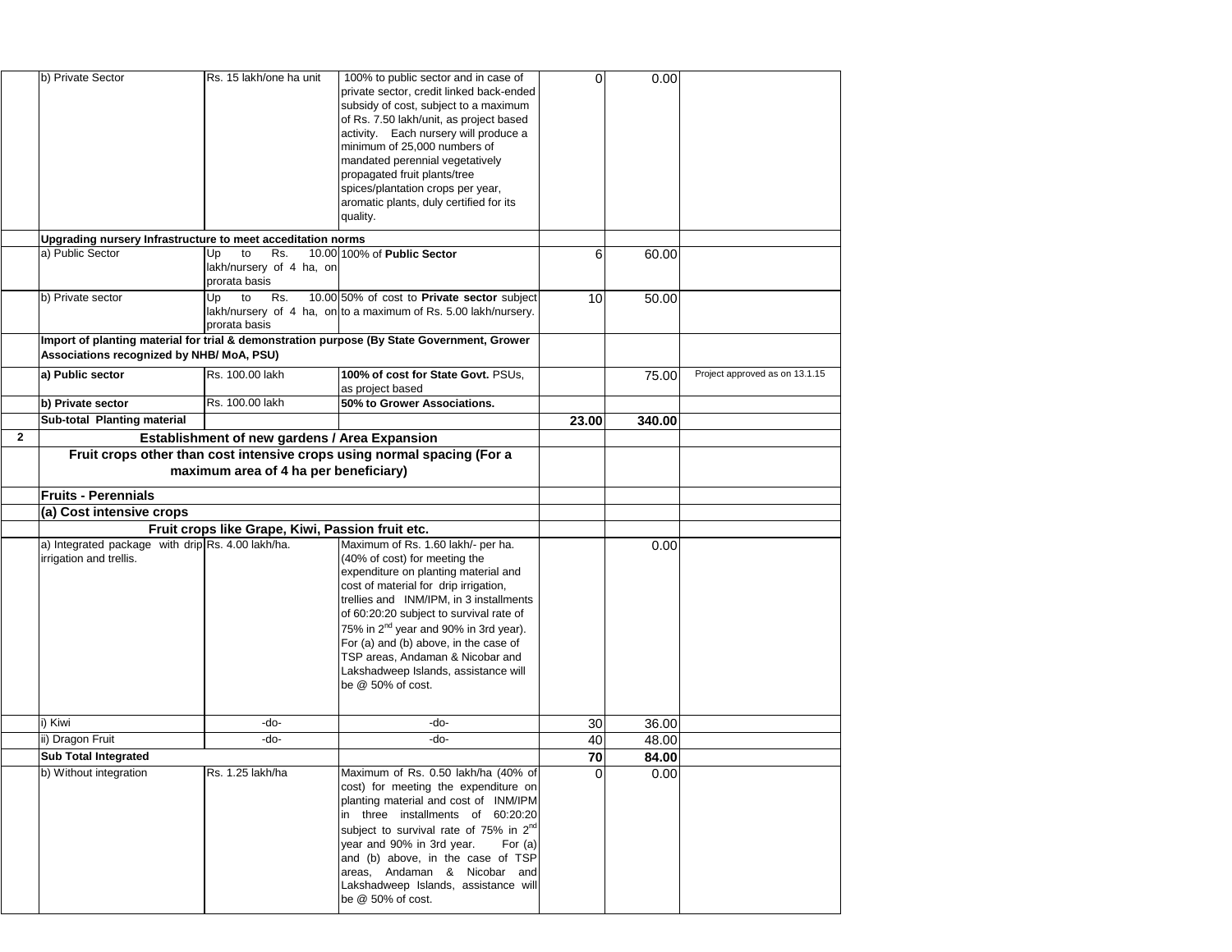|                | b) Private Sector                                                            | Rs. 15 lakh/one ha unit                                      | 100% to public sector and in case of<br>private sector, credit linked back-ended<br>subsidy of cost, subject to a maximum<br>of Rs. 7.50 lakh/unit, as project based<br>activity. Each nursery will produce a<br>minimum of 25,000 numbers of<br>mandated perennial vegetatively<br>propagated fruit plants/tree<br>spices/plantation crops per year,<br>aromatic plants, duly certified for its<br>quality.                                | 0               | 0.00   |                                |
|----------------|------------------------------------------------------------------------------|--------------------------------------------------------------|---------------------------------------------------------------------------------------------------------------------------------------------------------------------------------------------------------------------------------------------------------------------------------------------------------------------------------------------------------------------------------------------------------------------------------------------|-----------------|--------|--------------------------------|
|                | Upgrading nursery Infrastructure to meet acceditation norms                  |                                                              |                                                                                                                                                                                                                                                                                                                                                                                                                                             |                 |        |                                |
|                | a) Public Sector                                                             | Up<br>Rs.<br>to<br>lakh/nursery of 4 ha, on<br>prorata basis | 10.00 100% of Public Sector                                                                                                                                                                                                                                                                                                                                                                                                                 | 6               | 60.00  |                                |
|                | b) Private sector                                                            | to<br>Rs.<br>Up<br>prorata basis                             | 10.00 50% of cost to <b>Private sector</b> subject<br>lakh/nursery of 4 ha, on to a maximum of Rs. 5.00 lakh/nursery.                                                                                                                                                                                                                                                                                                                       | 10 <sup>1</sup> | 50.00  |                                |
|                |                                                                              |                                                              | Import of planting material for trial & demonstration purpose (By State Government, Grower                                                                                                                                                                                                                                                                                                                                                  |                 |        |                                |
|                | Associations recognized by NHB/ MoA, PSU)                                    |                                                              |                                                                                                                                                                                                                                                                                                                                                                                                                                             |                 |        |                                |
|                | a) Public sector                                                             | Rs. 100.00 lakh                                              | 100% of cost for State Govt. PSUs,<br>as project based                                                                                                                                                                                                                                                                                                                                                                                      |                 | 75.00  | Project approved as on 13.1.15 |
|                | b) Private sector                                                            | Rs. 100.00 lakh                                              | 50% to Grower Associations.                                                                                                                                                                                                                                                                                                                                                                                                                 |                 |        |                                |
|                | <b>Sub-total Planting material</b>                                           |                                                              |                                                                                                                                                                                                                                                                                                                                                                                                                                             | 23.00           | 340.00 |                                |
| $\overline{2}$ |                                                                              | <b>Establishment of new gardens / Area Expansion</b>         |                                                                                                                                                                                                                                                                                                                                                                                                                                             |                 |        |                                |
|                |                                                                              | maximum area of 4 ha per beneficiary)                        | Fruit crops other than cost intensive crops using normal spacing (For a                                                                                                                                                                                                                                                                                                                                                                     |                 |        |                                |
|                | <b>Fruits - Perennials</b>                                                   |                                                              |                                                                                                                                                                                                                                                                                                                                                                                                                                             |                 |        |                                |
|                | (a) Cost intensive crops                                                     |                                                              |                                                                                                                                                                                                                                                                                                                                                                                                                                             |                 |        |                                |
|                |                                                                              | Fruit crops like Grape, Kiwi, Passion fruit etc.             |                                                                                                                                                                                                                                                                                                                                                                                                                                             |                 |        |                                |
|                | a) Integrated package with drip Rs. 4.00 lakh/ha.<br>irrigation and trellis. |                                                              | Maximum of Rs. 1.60 lakh/- per ha.<br>(40% of cost) for meeting the<br>expenditure on planting material and<br>cost of material for drip irrigation,<br>trellies and INM/IPM, in 3 installments<br>of 60:20:20 subject to survival rate of<br>75% in 2 <sup>nd</sup> year and 90% in 3rd year).<br>For (a) and (b) above, in the case of<br>TSP areas, Andaman & Nicobar and<br>Lakshadweep Islands, assistance will<br>be $@$ 50% of cost. |                 | 0.00   |                                |
|                | i) Kiwi                                                                      | -do-                                                         | $-do-$                                                                                                                                                                                                                                                                                                                                                                                                                                      | 30              | 36.00  |                                |
|                | ii) Dragon Fruit                                                             | -do-                                                         | -do-                                                                                                                                                                                                                                                                                                                                                                                                                                        | 40              | 48.00  |                                |
|                | <b>Sub Total Integrated</b>                                                  |                                                              |                                                                                                                                                                                                                                                                                                                                                                                                                                             | 70              | 84.00  |                                |
|                | b) Without integration                                                       | Rs. 1.25 lakh/ha                                             | Maximum of Rs. 0.50 lakh/ha (40% of<br>cost) for meeting the expenditure on<br>planting material and cost of INM/IPM<br>in three installments of 60:20:20<br>subject to survival rate of 75% in $2^{nd}$<br>year and 90% in 3rd year.<br>For $(a)$<br>and (b) above, in the case of TSP<br>areas, Andaman & Nicobar and<br>Lakshadweep Islands, assistance will<br>be $@$ 50% of cost.                                                      |                 | 0.00   |                                |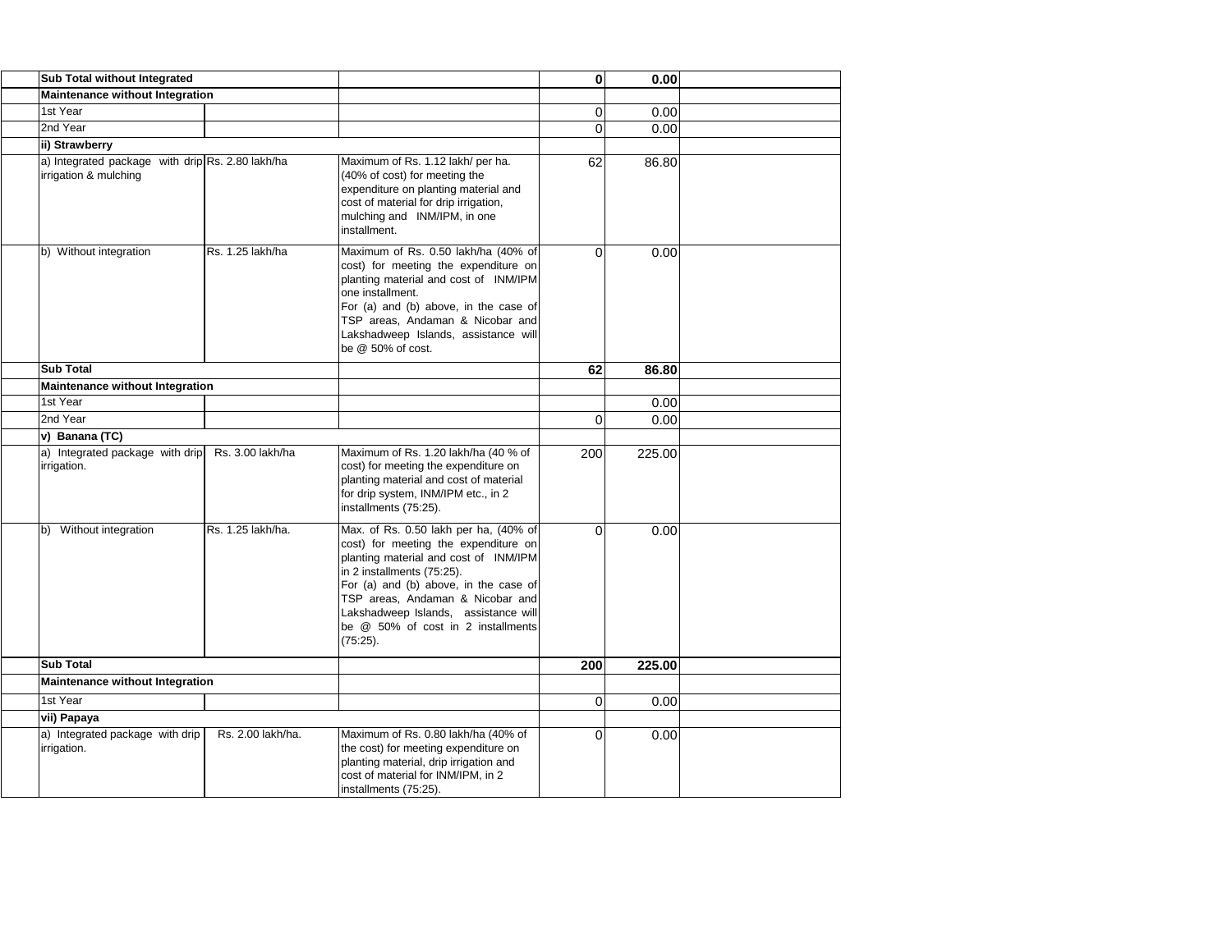| <b>Sub Total without Integrated</b>                                       |                   |                                                                                                                                                                                                                                                                                                                             | 0        | 0.00   |  |
|---------------------------------------------------------------------------|-------------------|-----------------------------------------------------------------------------------------------------------------------------------------------------------------------------------------------------------------------------------------------------------------------------------------------------------------------------|----------|--------|--|
| <b>Maintenance without Integration</b>                                    |                   |                                                                                                                                                                                                                                                                                                                             |          |        |  |
| 1st Year                                                                  |                   |                                                                                                                                                                                                                                                                                                                             | $\Omega$ | 0.00   |  |
| 2nd Year                                                                  |                   |                                                                                                                                                                                                                                                                                                                             | $\Omega$ | 0.00   |  |
| ii) Strawberry                                                            |                   |                                                                                                                                                                                                                                                                                                                             |          |        |  |
| a) Integrated package with drip Rs. 2.80 lakh/ha<br>irrigation & mulching |                   | Maximum of Rs. 1.12 lakh/ per ha.<br>(40% of cost) for meeting the<br>expenditure on planting material and<br>cost of material for drip irrigation,<br>mulching and INM/IPM, in one<br>installment.                                                                                                                         | 62       | 86.80  |  |
| b) Without integration                                                    | Rs. 1.25 lakh/ha  | Maximum of Rs. 0.50 lakh/ha (40% of<br>cost) for meeting the expenditure on<br>planting material and cost of INM/IPM<br>Ione installment.<br>For (a) and (b) above, in the case of<br>TSP areas, Andaman & Nicobar and<br>Lakshadweep Islands, assistance will<br>be @ 50% of cost.                                         | $\Omega$ | 0.00   |  |
| <b>Sub Total</b>                                                          |                   |                                                                                                                                                                                                                                                                                                                             | 62       | 86.80  |  |
| <b>Maintenance without Integration</b>                                    |                   |                                                                                                                                                                                                                                                                                                                             |          |        |  |
| 1st Year                                                                  |                   |                                                                                                                                                                                                                                                                                                                             |          | 0.00   |  |
| 2nd Year                                                                  |                   |                                                                                                                                                                                                                                                                                                                             | $\Omega$ | 0.00   |  |
| v) Banana (TC)                                                            |                   |                                                                                                                                                                                                                                                                                                                             |          |        |  |
| a) Integrated package with drip<br>irrigation.                            | Rs. 3.00 lakh/ha  | Maximum of Rs. 1.20 lakh/ha (40 % of<br>cost) for meeting the expenditure on<br>planting material and cost of material<br>for drip system, INM/IPM etc., in 2<br>installments (75:25).                                                                                                                                      | 200      | 225.00 |  |
| Without integration<br>lb)                                                | Rs. 1.25 lakh/ha. | Max. of Rs. 0.50 lakh per ha, (40% of<br>cost) for meeting the expenditure on<br>planting material and cost of INM/IPM<br>in 2 installments (75:25).<br>For (a) and (b) above, in the case of<br>TSP areas, Andaman & Nicobar and<br>Lakshadweep Islands, assistance will<br>be @ 50% of cost in 2 installments<br>(75:25). | $\Omega$ | 0.00   |  |
| <b>Sub Total</b>                                                          |                   |                                                                                                                                                                                                                                                                                                                             | 200      | 225.00 |  |
| <b>Maintenance without Integration</b>                                    |                   |                                                                                                                                                                                                                                                                                                                             |          |        |  |
| 1st Year                                                                  |                   |                                                                                                                                                                                                                                                                                                                             | 0l       | 0.00   |  |
| vii) Papaya                                                               |                   |                                                                                                                                                                                                                                                                                                                             |          |        |  |
| a) Integrated package with drip<br>irrigation.                            | Rs. 2.00 lakh/ha. | Maximum of Rs. 0.80 lakh/ha (40% of<br>the cost) for meeting expenditure on<br>planting material, drip irrigation and<br>cost of material for INM/IPM, in 2<br>installments (75:25).                                                                                                                                        | $\Omega$ | 0.00   |  |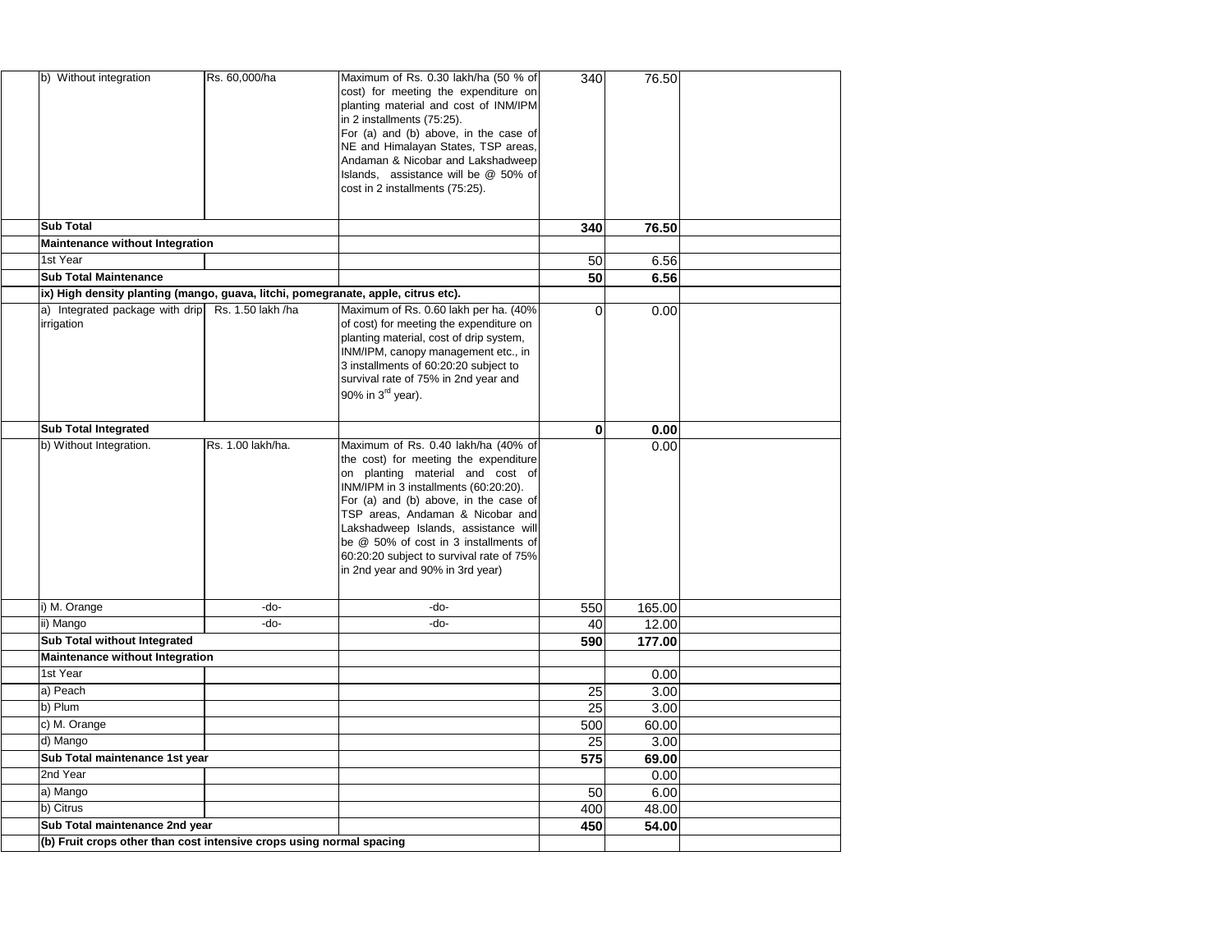| b) Without integration                                                            | Rs. 60,000/ha     | Maximum of Rs. 0.30 lakh/ha (50 % of<br>cost) for meeting the expenditure on<br>planting material and cost of INM/IPM<br>in 2 installments (75:25).<br>For (a) and (b) above, in the case of<br>NE and Himalayan States, TSP areas,<br>Andaman & Nicobar and Lakshadweep<br>Islands, assistance will be @ 50% of<br>cost in 2 installments (75:25).                                                     | 340             | 76.50  |  |
|-----------------------------------------------------------------------------------|-------------------|---------------------------------------------------------------------------------------------------------------------------------------------------------------------------------------------------------------------------------------------------------------------------------------------------------------------------------------------------------------------------------------------------------|-----------------|--------|--|
| <b>Sub Total</b>                                                                  |                   |                                                                                                                                                                                                                                                                                                                                                                                                         | 340             | 76.50  |  |
| <b>Maintenance without Integration</b>                                            |                   |                                                                                                                                                                                                                                                                                                                                                                                                         |                 |        |  |
| 1st Year                                                                          |                   |                                                                                                                                                                                                                                                                                                                                                                                                         | 50 <sub>l</sub> | 6.56   |  |
| <b>Sub Total Maintenance</b>                                                      |                   |                                                                                                                                                                                                                                                                                                                                                                                                         | 50              | 6.56   |  |
| ix) High density planting (mango, guava, litchi, pomegranate, apple, citrus etc). |                   |                                                                                                                                                                                                                                                                                                                                                                                                         |                 |        |  |
| a) Integrated package with drip Rs. 1.50 lakh /ha<br>irrigation                   |                   | Maximum of Rs. 0.60 lakh per ha. (40%)<br>of cost) for meeting the expenditure on<br>planting material, cost of drip system,<br>INM/IPM, canopy management etc., in<br>3 installments of 60:20:20 subject to<br>survival rate of 75% in 2nd year and<br>90% in $3^{\text{rd}}$ year).                                                                                                                   | $\Omega$        | 0.00   |  |
| <b>Sub Total Integrated</b>                                                       |                   |                                                                                                                                                                                                                                                                                                                                                                                                         | $\bf{0}$        | 0.00   |  |
| b) Without Integration.                                                           | Rs. 1.00 lakh/ha. | Maximum of Rs. 0.40 lakh/ha (40% of<br>the cost) for meeting the expenditure<br>on planting material and cost of<br>INM/IPM in 3 installments (60:20:20).<br>For (a) and (b) above, in the case of<br>TSP areas, Andaman & Nicobar and<br>Lakshadweep Islands, assistance will<br>be @ 50% of cost in 3 installments of<br>60:20:20 subject to survival rate of 75%<br>in 2nd year and 90% in 3rd year) |                 | 0.00   |  |
| i) M. Orange                                                                      | $-do-$            | $-do-$                                                                                                                                                                                                                                                                                                                                                                                                  | 550             | 165.00 |  |
| ii) Mango                                                                         | $-do-$            | $-do-$                                                                                                                                                                                                                                                                                                                                                                                                  | 40              | 12.00  |  |
| <b>Sub Total without Integrated</b>                                               |                   |                                                                                                                                                                                                                                                                                                                                                                                                         | 590             | 177.00 |  |
| <b>Maintenance without Integration</b>                                            |                   |                                                                                                                                                                                                                                                                                                                                                                                                         |                 |        |  |
| 1st Year                                                                          |                   |                                                                                                                                                                                                                                                                                                                                                                                                         |                 | 0.00   |  |
| a) Peach                                                                          |                   |                                                                                                                                                                                                                                                                                                                                                                                                         | 25              | 3.00   |  |
| b) Plum                                                                           |                   |                                                                                                                                                                                                                                                                                                                                                                                                         | 25              | 3.00   |  |
| c) M. Orange                                                                      |                   |                                                                                                                                                                                                                                                                                                                                                                                                         | 500             | 60.00  |  |
| d) Mango                                                                          |                   |                                                                                                                                                                                                                                                                                                                                                                                                         | 25              | 3.00   |  |
| Sub Total maintenance 1st year                                                    |                   |                                                                                                                                                                                                                                                                                                                                                                                                         | 575             | 69.00  |  |
| 2nd Year                                                                          |                   |                                                                                                                                                                                                                                                                                                                                                                                                         |                 | 0.00   |  |
| a) Mango                                                                          |                   |                                                                                                                                                                                                                                                                                                                                                                                                         | 50              | 6.00   |  |
| b) Citrus                                                                         |                   |                                                                                                                                                                                                                                                                                                                                                                                                         | 400             | 48.00  |  |
| Sub Total maintenance 2nd year                                                    |                   |                                                                                                                                                                                                                                                                                                                                                                                                         | 450             | 54.00  |  |
| (b) Fruit crops other than cost intensive crops using normal spacing              |                   |                                                                                                                                                                                                                                                                                                                                                                                                         |                 |        |  |
|                                                                                   |                   |                                                                                                                                                                                                                                                                                                                                                                                                         |                 |        |  |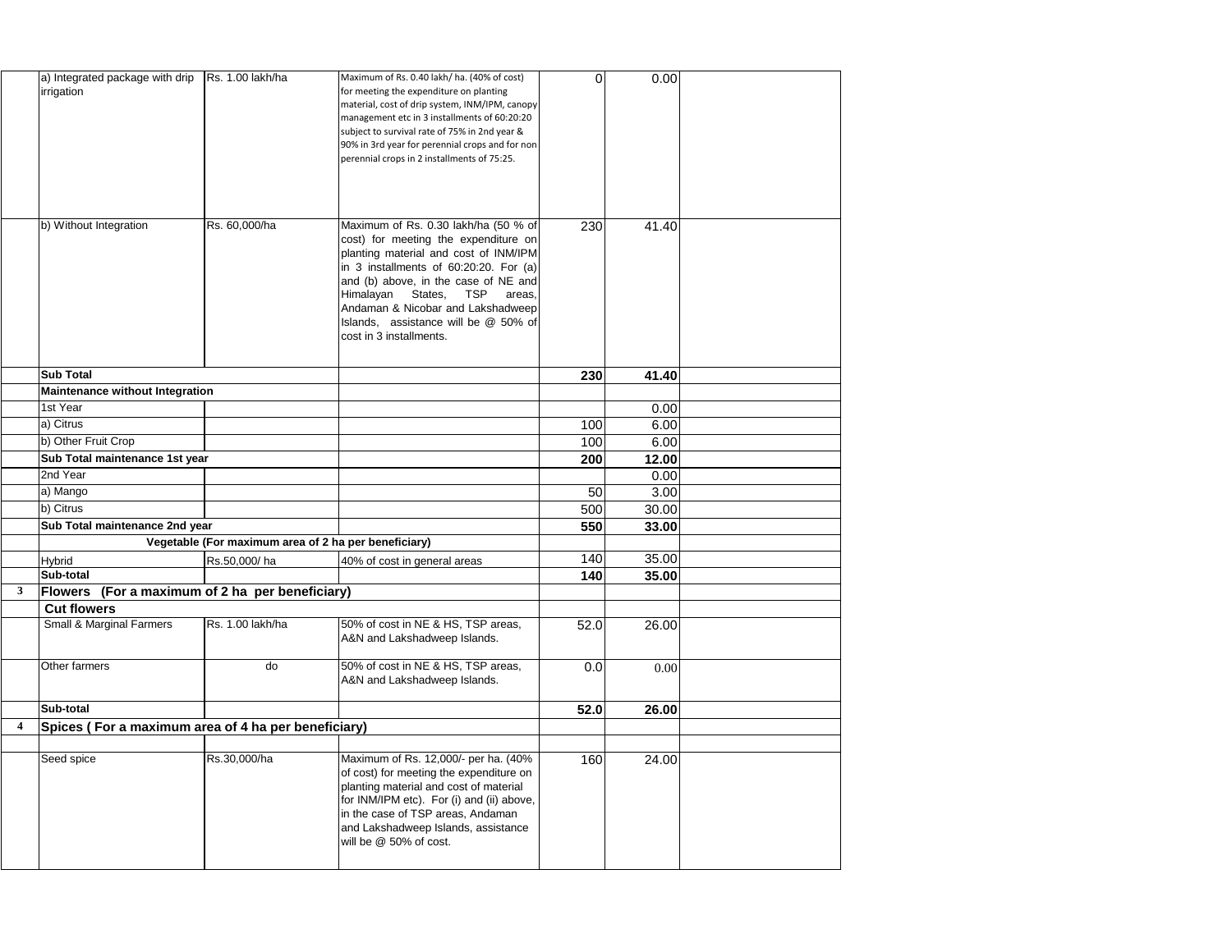|                         | a) Integrated package with drip<br>irrigation       | Rs. 1.00 lakh/ha                                     | Maximum of Rs. 0.40 lakh/ ha. (40% of cost)<br>for meeting the expenditure on planting<br>material, cost of drip system, INM/IPM, canopy<br>management etc in 3 installments of 60:20:20<br>subject to survival rate of 75% in 2nd year &<br>90% in 3rd year for perennial crops and for non<br>perennial crops in 2 installments of 75:25.                                 | $\overline{0}$ | 0.00  |  |
|-------------------------|-----------------------------------------------------|------------------------------------------------------|-----------------------------------------------------------------------------------------------------------------------------------------------------------------------------------------------------------------------------------------------------------------------------------------------------------------------------------------------------------------------------|----------------|-------|--|
|                         | b) Without Integration                              | Rs. 60,000/ha                                        | Maximum of Rs. 0.30 lakh/ha (50 % of<br>cost) for meeting the expenditure on<br>planting material and cost of INM/IPM<br>$\left  \text{in } 3 \right $ installments of 60:20:20. For (a)<br>and (b) above, in the case of NE and<br>Himalayan States, TSP<br>areas,<br>Andaman & Nicobar and Lakshadweep<br>Islands, assistance will be @ 50% of<br>cost in 3 installments. | 230            | 41.40 |  |
|                         | <b>Sub Total</b>                                    |                                                      |                                                                                                                                                                                                                                                                                                                                                                             | 230            | 41.40 |  |
|                         | <b>Maintenance without Integration</b>              |                                                      |                                                                                                                                                                                                                                                                                                                                                                             |                |       |  |
|                         | 1st Year                                            |                                                      |                                                                                                                                                                                                                                                                                                                                                                             |                | 0.00  |  |
|                         | a) Citrus                                           |                                                      |                                                                                                                                                                                                                                                                                                                                                                             | 100            | 6.00  |  |
|                         | b) Other Fruit Crop                                 |                                                      |                                                                                                                                                                                                                                                                                                                                                                             | 100            | 6.00  |  |
|                         | Sub Total maintenance 1st year                      |                                                      |                                                                                                                                                                                                                                                                                                                                                                             | 200            | 12.00 |  |
|                         | 2nd Year                                            |                                                      |                                                                                                                                                                                                                                                                                                                                                                             |                | 0.00  |  |
|                         | a) Mango                                            |                                                      |                                                                                                                                                                                                                                                                                                                                                                             | 50             | 3.00  |  |
|                         | b) Citrus                                           |                                                      |                                                                                                                                                                                                                                                                                                                                                                             | 500            | 30.00 |  |
|                         | Sub Total maintenance 2nd year                      |                                                      |                                                                                                                                                                                                                                                                                                                                                                             | 550            | 33.00 |  |
|                         |                                                     | Vegetable (For maximum area of 2 ha per beneficiary) |                                                                                                                                                                                                                                                                                                                                                                             |                |       |  |
|                         | <b>Hybrid</b>                                       | Rs.50,000/ha                                         | 40% of cost in general areas                                                                                                                                                                                                                                                                                                                                                | 140            | 35.00 |  |
|                         | Sub-total                                           |                                                      |                                                                                                                                                                                                                                                                                                                                                                             | 140            | 35.00 |  |
| 3 <sup>1</sup>          | Flowers                                             | (For a maximum of 2 ha per beneficiary)              |                                                                                                                                                                                                                                                                                                                                                                             |                |       |  |
|                         | <b>Cut flowers</b>                                  |                                                      |                                                                                                                                                                                                                                                                                                                                                                             |                |       |  |
|                         | <b>Small &amp; Marginal Farmers</b>                 | Rs. 1.00 lakh/ha                                     | 50% of cost in NE & HS, TSP areas,<br>A&N and Lakshadweep Islands.                                                                                                                                                                                                                                                                                                          | 52.0           | 26.00 |  |
|                         | Other farmers                                       | do                                                   | 50% of cost in NE & HS, TSP areas,<br>A&N and Lakshadweep Islands.                                                                                                                                                                                                                                                                                                          | 0.0            | 0.00  |  |
|                         | Sub-total                                           |                                                      |                                                                                                                                                                                                                                                                                                                                                                             | 52.0           | 26.00 |  |
| $\overline{\mathbf{4}}$ | Spices (For a maximum area of 4 ha per beneficiary) |                                                      |                                                                                                                                                                                                                                                                                                                                                                             |                |       |  |
|                         |                                                     |                                                      |                                                                                                                                                                                                                                                                                                                                                                             |                |       |  |
|                         | Seed spice                                          | Rs.30,000/ha                                         | Maximum of Rs. 12,000/- per ha. (40%<br>of cost) for meeting the expenditure on<br>planting material and cost of material<br>for INM/IPM etc). For (i) and (ii) above,<br>in the case of TSP areas, Andaman<br>and Lakshadweep Islands, assistance<br>will be @ 50% of cost.                                                                                                | 160            | 24.00 |  |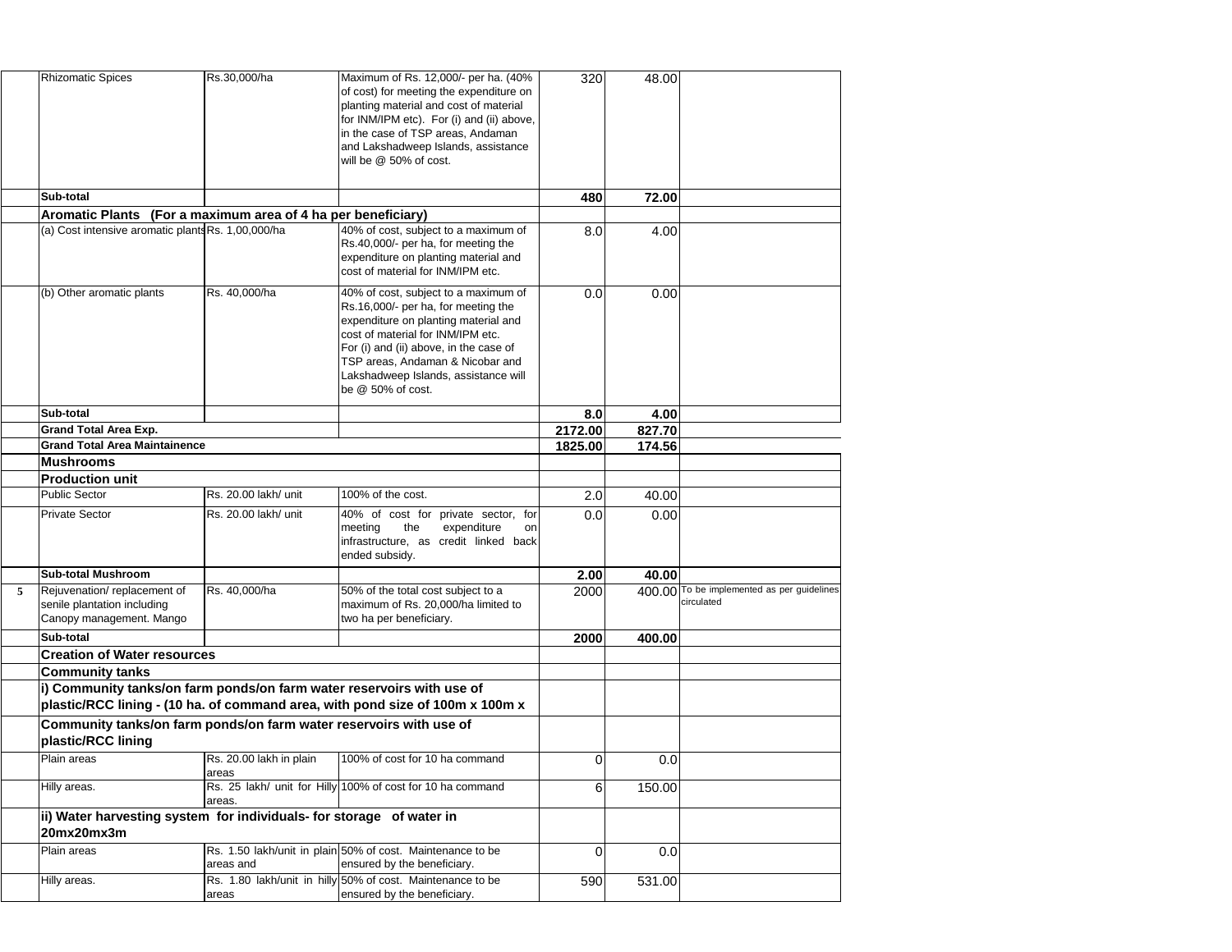|   | <b>Rhizomatic Spices</b>                                                                 | Rs.30,000/ha                      | Maximum of Rs. 12,000/- per ha. (40%<br>of cost) for meeting the expenditure on<br>planting material and cost of material<br>for INM/IPM etc). For (i) and (ii) above,<br>in the case of TSP areas, Andaman<br>and Lakshadweep Islands, assistance<br>will be @ 50% of cost.                        | 320            | 48.00  |                                                          |
|---|------------------------------------------------------------------------------------------|-----------------------------------|-----------------------------------------------------------------------------------------------------------------------------------------------------------------------------------------------------------------------------------------------------------------------------------------------------|----------------|--------|----------------------------------------------------------|
|   | Sub-total                                                                                |                                   |                                                                                                                                                                                                                                                                                                     | 480            | 72.00  |                                                          |
|   | Aromatic Plants (For a maximum area of 4 ha per beneficiary)                             |                                   |                                                                                                                                                                                                                                                                                                     |                |        |                                                          |
|   | (a) Cost intensive aromatic plants Rs. 1,00,000/ha                                       |                                   | 40% of cost, subject to a maximum of<br>Rs.40,000/- per ha, for meeting the<br>expenditure on planting material and<br>cost of material for INM/IPM etc.                                                                                                                                            | 8.0            | 4.00   |                                                          |
|   | (b) Other aromatic plants                                                                | Rs. 40,000/ha                     | 40% of cost, subject to a maximum of<br>Rs.16,000/- per ha, for meeting the<br>expenditure on planting material and<br>cost of material for INM/IPM etc.<br>For (i) and (ii) above, in the case of<br>TSP areas, Andaman & Nicobar and<br>Lakshadweep Islands, assistance will<br>be @ 50% of cost. | 0.0            | 0.00   |                                                          |
|   | Sub-total                                                                                |                                   |                                                                                                                                                                                                                                                                                                     | 8.0            | 4.00   |                                                          |
|   | <b>Grand Total Area Exp.</b>                                                             |                                   |                                                                                                                                                                                                                                                                                                     | 2172.00        | 827.70 |                                                          |
|   | <b>Grand Total Area Maintainence</b>                                                     |                                   |                                                                                                                                                                                                                                                                                                     | 1825.00        | 174.56 |                                                          |
|   | <b>Mushrooms</b>                                                                         |                                   |                                                                                                                                                                                                                                                                                                     |                |        |                                                          |
|   | <b>Production unit</b>                                                                   |                                   |                                                                                                                                                                                                                                                                                                     |                |        |                                                          |
|   | <b>Public Sector</b>                                                                     | Rs. 20.00 lakh/ unit              | 100% of the cost.                                                                                                                                                                                                                                                                                   | 2.0            | 40.00  |                                                          |
|   | <b>Private Sector</b>                                                                    | Rs. 20.00 lakh/ unit              | 40% of cost for private sector, for<br>the<br>meeting<br>expenditure<br>on.<br>infrastructure, as credit linked back<br>ended subsidy.                                                                                                                                                              | 0.0            | 0.00   |                                                          |
|   | <b>Sub-total Mushroom</b>                                                                |                                   |                                                                                                                                                                                                                                                                                                     | 2.00           | 40.00  |                                                          |
| 5 | Rejuvenation/replacement of<br>senile plantation including<br>Canopy management. Mango   | Rs. 40,000/ha                     | 50% of the total cost subject to a<br>maximum of Rs. 20,000/ha limited to<br>two ha per beneficiary.                                                                                                                                                                                                | 2000           |        | 400.00 To be implemented as per guidelines<br>circulated |
|   | Sub-total                                                                                |                                   |                                                                                                                                                                                                                                                                                                     | 2000           | 400.00 |                                                          |
|   | <b>Creation of Water resources</b>                                                       |                                   |                                                                                                                                                                                                                                                                                                     |                |        |                                                          |
|   | <b>Community tanks</b>                                                                   |                                   |                                                                                                                                                                                                                                                                                                     |                |        |                                                          |
|   | i) Community tanks/on farm ponds/on farm water reservoirs with use of                    |                                   | plastic/RCC lining - (10 ha. of command area, with pond size of 100m x 100m x                                                                                                                                                                                                                       |                |        |                                                          |
|   | Community tanks/on farm ponds/on farm water reservoirs with use of<br>plastic/RCC lining |                                   |                                                                                                                                                                                                                                                                                                     |                |        |                                                          |
|   | Plain areas                                                                              | Rs. 20.00 lakh in plain<br>lareas | 100% of cost for 10 ha command                                                                                                                                                                                                                                                                      | $\Omega$       | 0.0    |                                                          |
|   | Hilly areas.                                                                             | areas.                            | Rs. 25 lakh/ unit for Hilly 100% of cost for 10 ha command                                                                                                                                                                                                                                          | 6 <sup>1</sup> | 150.00 |                                                          |
|   | ii) Water harvesting system for individuals- for storage of water in<br>20mx20mx3m       |                                   |                                                                                                                                                                                                                                                                                                     |                |        |                                                          |
|   | Plain areas                                                                              | lareas and                        | Rs. 1.50 lakh/unit in plain 50% of cost. Maintenance to be<br>ensured by the beneficiary.                                                                                                                                                                                                           | $\Omega$       | 0.0    |                                                          |
|   | Hilly areas.                                                                             | areas                             | Rs. 1.80 lakh/unit in hilly 50% of cost. Maintenance to be<br>ensured by the beneficiary.                                                                                                                                                                                                           | 590            | 531.00 |                                                          |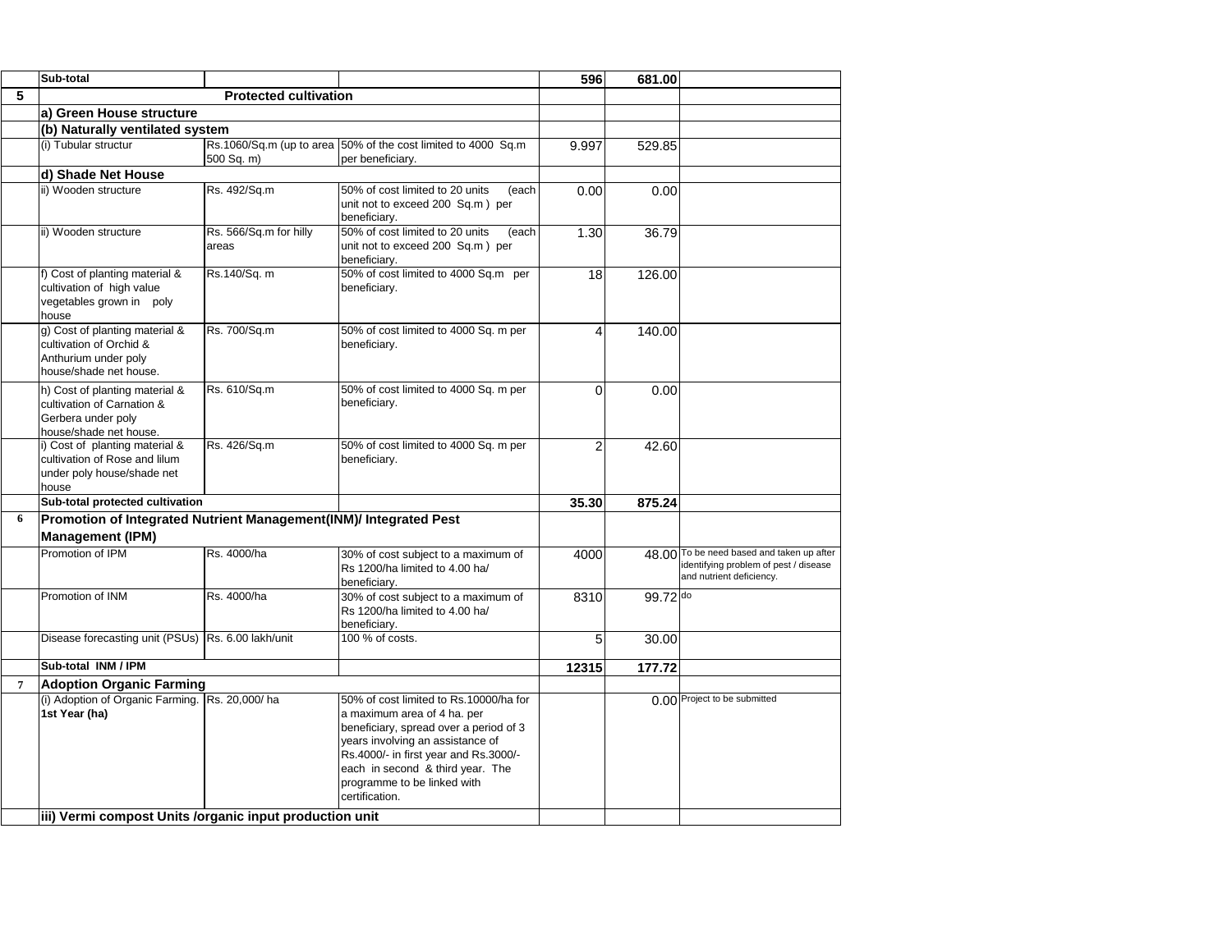|                | Sub-total                                                                                                    |                                 |                                                                                                                                                                                                                                                                                   | 596   | 681.00   |                                                                                                                |
|----------------|--------------------------------------------------------------------------------------------------------------|---------------------------------|-----------------------------------------------------------------------------------------------------------------------------------------------------------------------------------------------------------------------------------------------------------------------------------|-------|----------|----------------------------------------------------------------------------------------------------------------|
| 5              | <b>Protected cultivation</b>                                                                                 |                                 |                                                                                                                                                                                                                                                                                   |       |          |                                                                                                                |
|                | a) Green House structure                                                                                     |                                 |                                                                                                                                                                                                                                                                                   |       |          |                                                                                                                |
|                | (b) Naturally ventilated system                                                                              |                                 |                                                                                                                                                                                                                                                                                   |       |          |                                                                                                                |
|                | (i) Tubular structur                                                                                         | 500 Sq. m)                      | Rs.1060/Sq.m (up to area 50% of the cost limited to 4000 Sq.m<br>per beneficiary.                                                                                                                                                                                                 | 9.997 | 529.85   |                                                                                                                |
|                | d) Shade Net House                                                                                           |                                 |                                                                                                                                                                                                                                                                                   |       |          |                                                                                                                |
|                | ii) Wooden structure                                                                                         | Rs. 492/Sq.m                    | 50% of cost limited to 20 units<br>(each<br>unit not to exceed 200 Sq.m) per<br>beneficiary.                                                                                                                                                                                      | 0.00  | 0.00     |                                                                                                                |
|                | ii) Wooden structure                                                                                         | Rs. 566/Sq.m for hilly<br>areas | 50% of cost limited to 20 units<br>(each<br>unit not to exceed 200 Sq.m) per<br>beneficiary.                                                                                                                                                                                      | 1.30  | 36.79    |                                                                                                                |
|                | f) Cost of planting material &<br>cultivation of high value<br>vegetables grown in poly<br>house             | Rs.140/Sq. m                    | 50% of cost limited to 4000 Sq.m per<br>beneficiary.                                                                                                                                                                                                                              | 18    | 126.00   |                                                                                                                |
|                | g) Cost of planting material &<br>cultivation of Orchid &<br>Anthurium under poly<br>house/shade net house.  | Rs. 700/Sq.m                    | 50% of cost limited to 4000 Sq. m per<br>beneficiary.                                                                                                                                                                                                                             |       | 140.00   |                                                                                                                |
|                | h) Cost of planting material &<br>cultivation of Carnation &<br>Gerbera under poly<br>house/shade net house. | Rs. 610/Sq.m                    | 50% of cost limited to 4000 Sq. m per<br>beneficiary.                                                                                                                                                                                                                             | 0     | 0.00     |                                                                                                                |
|                | i) Cost of planting material &<br>cultivation of Rose and lilum<br>under poly house/shade net<br>house       | Rs. 426/Sq.m                    | 50% of cost limited to 4000 Sq. m per<br>beneficiary.                                                                                                                                                                                                                             |       | 42.60    |                                                                                                                |
|                | Sub-total protected cultivation                                                                              |                                 |                                                                                                                                                                                                                                                                                   | 35.30 | 875.24   |                                                                                                                |
| 6              | Promotion of Integrated Nutrient Management(INM)/ Integrated Pest                                            |                                 |                                                                                                                                                                                                                                                                                   |       |          |                                                                                                                |
|                | <b>Management (IPM)</b>                                                                                      |                                 |                                                                                                                                                                                                                                                                                   |       |          |                                                                                                                |
|                | Promotion of IPM                                                                                             | Rs. 4000/ha                     | 30% of cost subject to a maximum of<br>Rs 1200/ha limited to 4.00 ha/<br>beneficiary.                                                                                                                                                                                             | 4000  |          | 48.00 To be need based and taken up after<br>identifying problem of pest / disease<br>and nutrient deficiency. |
|                | Promotion of INM                                                                                             | Rs. 4000/ha                     | 30% of cost subject to a maximum of<br>Rs 1200/ha limited to 4.00 ha/<br>beneficiary.                                                                                                                                                                                             | 8310  | 99.72 do |                                                                                                                |
|                | Disease forecasting unit (PSUs)   Rs. 6.00 lakh/unit                                                         |                                 | 100 % of costs.                                                                                                                                                                                                                                                                   | 5     | 30.00    |                                                                                                                |
|                | Sub-total INM / IPM                                                                                          |                                 |                                                                                                                                                                                                                                                                                   | 12315 | 177.72   |                                                                                                                |
| $\overline{7}$ | <b>Adoption Organic Farming</b>                                                                              |                                 |                                                                                                                                                                                                                                                                                   |       |          |                                                                                                                |
|                | (i) Adoption of Organic Farming. Rs. 20,000/ ha<br>1st Year (ha)                                             |                                 | 50% of cost limited to Rs.10000/ha for<br>a maximum area of 4 ha. per<br>beneficiary, spread over a period of 3<br>years involving an assistance of<br>Rs.4000/- in first year and Rs.3000/-<br>each in second & third year. The<br>programme to be linked with<br>certification. |       |          | 0.00 Project to be submitted                                                                                   |
|                | iii) Vermi compost Units / organic input production unit                                                     |                                 |                                                                                                                                                                                                                                                                                   |       |          |                                                                                                                |
|                |                                                                                                              |                                 |                                                                                                                                                                                                                                                                                   |       |          |                                                                                                                |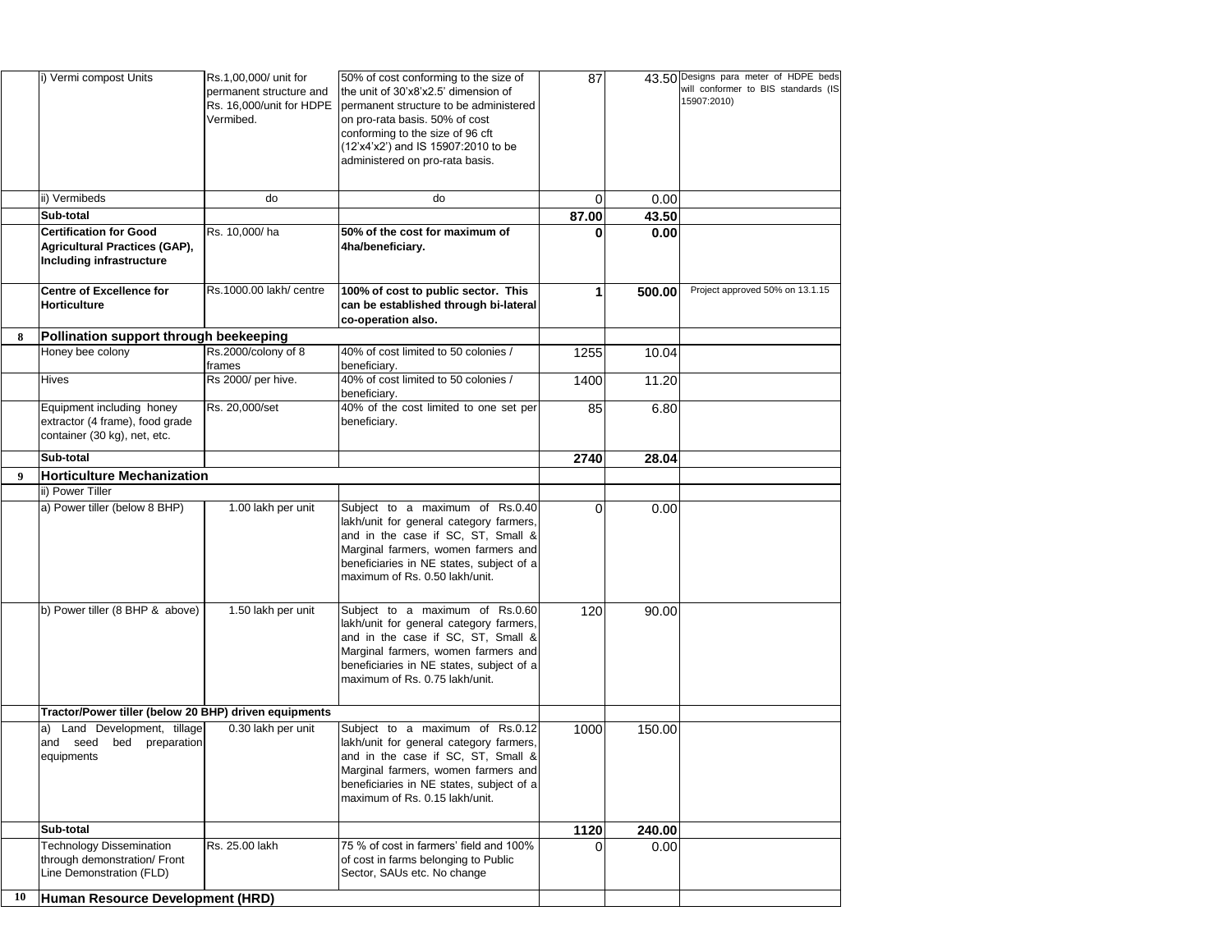|    | i) Vermi compost Units                                                                                   | Rs.1,00,000/ unit for<br>permanent structure and<br>Rs. 16,000/unit for HDPE<br>Vermibed. | 50% of cost conforming to the size of<br>the unit of 30'x8'x2.5' dimension of<br>permanent structure to be administered<br>on pro-rata basis. 50% of cost<br>conforming to the size of 96 cft<br>(12'x4'x2') and IS 15907:2010 to be<br>administered on pro-rata basis. | 87    |        | 43.50 Designs para meter of HDPE beds<br>will conformer to BIS standards (IS<br>15907:2010) |
|----|----------------------------------------------------------------------------------------------------------|-------------------------------------------------------------------------------------------|-------------------------------------------------------------------------------------------------------------------------------------------------------------------------------------------------------------------------------------------------------------------------|-------|--------|---------------------------------------------------------------------------------------------|
|    | ii) Vermibeds                                                                                            | do                                                                                        | do                                                                                                                                                                                                                                                                      |       | 0.00   |                                                                                             |
|    | Sub-total                                                                                                |                                                                                           |                                                                                                                                                                                                                                                                         | 87.00 | 43.50  |                                                                                             |
|    | <b>Certification for Good</b><br><b>Agricultural Practices (GAP),</b><br><b>Including infrastructure</b> | Rs. 10,000/ha                                                                             | 50% of the cost for maximum of<br>4ha/beneficiary.                                                                                                                                                                                                                      |       | 0.00   |                                                                                             |
|    | <b>Centre of Excellence for</b><br><b>Horticulture</b>                                                   | Rs.1000.00 lakh/ centre                                                                   | 100% of cost to public sector. This<br>can be established through bi-lateral<br>co-operation also.                                                                                                                                                                      |       | 500.00 | Project approved 50% on 13.1.15                                                             |
| 8  | Pollination support through beekeeping                                                                   |                                                                                           |                                                                                                                                                                                                                                                                         |       |        |                                                                                             |
|    | Honey bee colony                                                                                         | Rs.2000/colony of 8<br>frames                                                             | 40% of cost limited to 50 colonies /<br>beneficiary.                                                                                                                                                                                                                    | 1255  | 10.04  |                                                                                             |
|    | <b>Hives</b>                                                                                             | Rs 2000/ per hive.                                                                        | 40% of cost limited to 50 colonies /<br>beneficiary.                                                                                                                                                                                                                    | 1400  | 11.20  |                                                                                             |
|    | Equipment including honey<br>extractor (4 frame), food grade<br>container (30 kg), net, etc.             | Rs. 20,000/set                                                                            | 40% of the cost limited to one set per<br>beneficiary.                                                                                                                                                                                                                  | 85    | 6.80   |                                                                                             |
|    | Sub-total                                                                                                |                                                                                           |                                                                                                                                                                                                                                                                         | 2740  | 28.04  |                                                                                             |
| 9  | <b>Horticulture Mechanization</b>                                                                        |                                                                                           |                                                                                                                                                                                                                                                                         |       |        |                                                                                             |
|    | ii) Power Tiller                                                                                         |                                                                                           |                                                                                                                                                                                                                                                                         |       |        |                                                                                             |
|    | a) Power tiller (below 8 BHP)                                                                            | 1.00 lakh per unit                                                                        | Subject to a maximum of Rs.0.40<br>lakh/unit for general category farmers,<br>and in the case if SC, ST, Small &<br>Marginal farmers, women farmers and<br>beneficiaries in NE states, subject of a<br>maximum of Rs. 0.50 lakh/unit.                                   |       | 0.00   |                                                                                             |
|    | b) Power tiller (8 BHP & above)                                                                          | 1.50 lakh per unit                                                                        | Subject to a maximum of Rs.0.60<br>lakh/unit for general category farmers,<br>and in the case if SC, ST, Small &<br>Marginal farmers, women farmers and<br>beneficiaries in NE states, subject of a<br>maximum of Rs. 0.75 lakh/unit.                                   | 120   | 90.00  |                                                                                             |
|    | Tractor/Power tiller (below 20 BHP) driven equipments                                                    |                                                                                           |                                                                                                                                                                                                                                                                         |       |        |                                                                                             |
|    | a) Land Development, tillage<br>and seed<br>bed<br>preparation<br>equipments                             | 0.30 lakh per unit                                                                        | Subject to a maximum of Rs.0.12<br>lakh/unit for general category farmers,<br>and in the case if SC, ST, Small &<br>Marginal farmers, women farmers and<br>beneficiaries in NE states, subject of a<br>maximum of Rs. 0.15 lakh/unit.                                   | 1000  | 150.00 |                                                                                             |
|    | Sub-total                                                                                                |                                                                                           |                                                                                                                                                                                                                                                                         | 1120  | 240.00 |                                                                                             |
|    | <b>Fechnology Dissemination</b><br>through demonstration/ Front<br>Line Demonstration (FLD)              | Rs. 25.00 lakh                                                                            | 75 % of cost in farmers' field and 100%<br>of cost in farms belonging to Public<br>Sector, SAUs etc. No change                                                                                                                                                          |       | 0.00   |                                                                                             |
| 10 | Human Resource Development (HRD)                                                                         |                                                                                           |                                                                                                                                                                                                                                                                         |       |        |                                                                                             |
|    |                                                                                                          |                                                                                           |                                                                                                                                                                                                                                                                         |       |        |                                                                                             |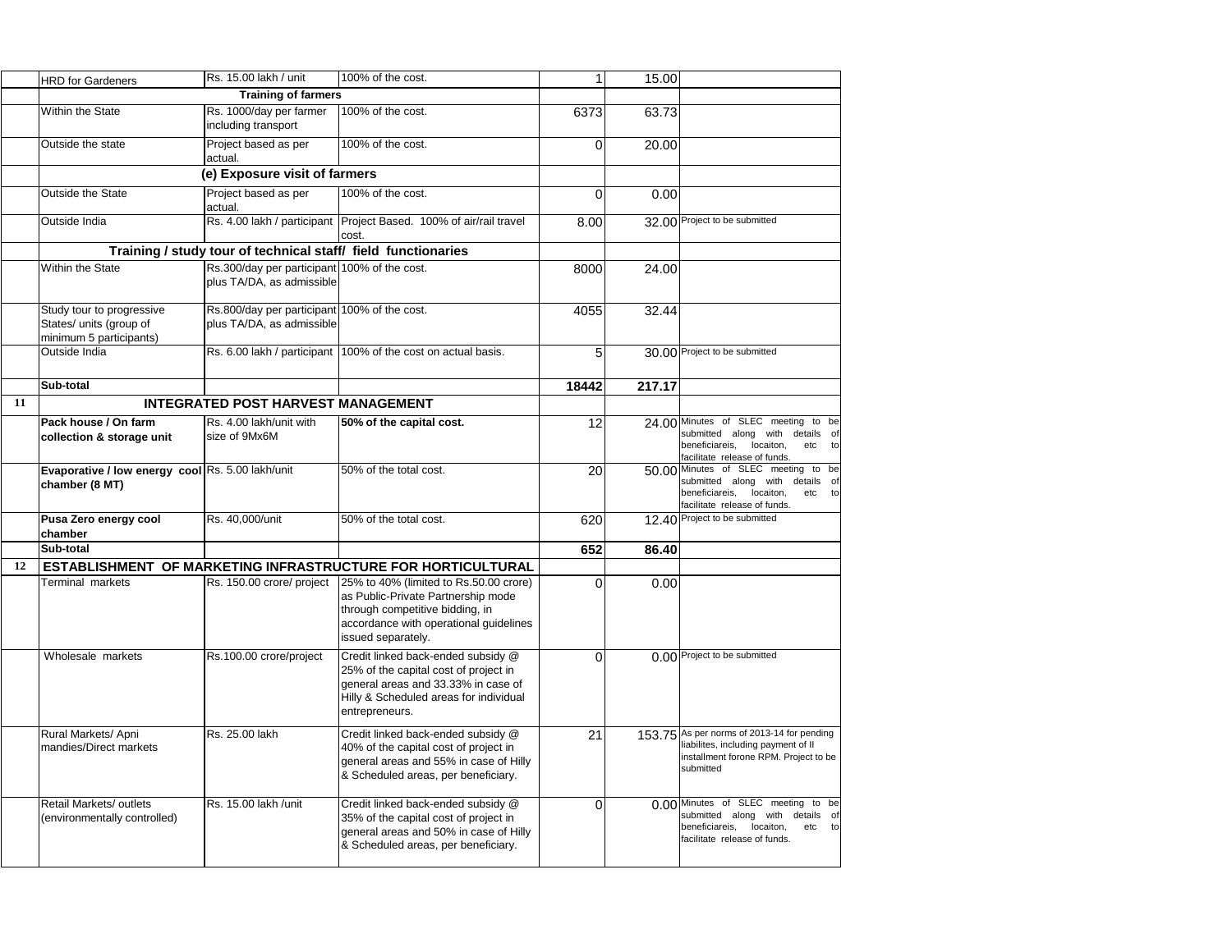|    | <b>HRD for Gardeners</b>                                                        | Rs. 15.00 lakh / unit                                                     | 100% of the cost.                                                                                                                                                               |          | 15.00  |                                                                                                                                                     |
|----|---------------------------------------------------------------------------------|---------------------------------------------------------------------------|---------------------------------------------------------------------------------------------------------------------------------------------------------------------------------|----------|--------|-----------------------------------------------------------------------------------------------------------------------------------------------------|
|    |                                                                                 | <b>Training of farmers</b>                                                |                                                                                                                                                                                 |          |        |                                                                                                                                                     |
|    | Within the State                                                                | Rs. 1000/day per farmer<br>including transport                            | 100% of the cost.                                                                                                                                                               | 6373     | 63.73  |                                                                                                                                                     |
|    | Outside the state                                                               | Project based as per<br>actual.                                           | 100% of the cost.                                                                                                                                                               | $\Omega$ | 20.00  |                                                                                                                                                     |
|    |                                                                                 | (e) Exposure visit of farmers                                             |                                                                                                                                                                                 |          |        |                                                                                                                                                     |
|    | <b>Outside the State</b>                                                        | Project based as per<br>actual.                                           | 100% of the cost.                                                                                                                                                               | $\Omega$ | 0.00   |                                                                                                                                                     |
|    | Outside India                                                                   |                                                                           | Rs. 4.00 lakh / participant   Project Based. 100% of air/rail travel<br>cost.                                                                                                   | 8.00     |        | 32.00 Project to be submitted                                                                                                                       |
|    |                                                                                 | Training / study tour of technical staff/ field functionaries             |                                                                                                                                                                                 |          |        |                                                                                                                                                     |
|    | <b>Within the State</b>                                                         | Rs.300/day per participant 100% of the cost.<br>plus TA/DA, as admissible |                                                                                                                                                                                 | 8000     | 24.00  |                                                                                                                                                     |
|    | Study tour to progressive<br>States/ units (group of<br>minimum 5 participants) | Rs.800/day per participant 100% of the cost.<br>plus TA/DA, as admissible |                                                                                                                                                                                 | 4055     | 32.44  |                                                                                                                                                     |
|    | Outside India                                                                   |                                                                           | Rs. 6.00 lakh / participant   100% of the cost on actual basis.                                                                                                                 | 5        |        | 30.00 Project to be submitted                                                                                                                       |
|    | Sub-total                                                                       |                                                                           |                                                                                                                                                                                 | 18442    | 217.17 |                                                                                                                                                     |
| 11 |                                                                                 | <b>INTEGRATED POST HARVEST MANAGEMENT</b>                                 |                                                                                                                                                                                 |          |        |                                                                                                                                                     |
|    | Pack house / On farm<br>collection & storage unit                               | Rs. 4.00 lakh/unit with<br>size of 9Mx6M                                  | 50% of the capital cost.                                                                                                                                                        | 12       |        | 24.00 Minutes of SLEC meeting to be<br>submitted along with details of<br>beneficiareis, locaiton,<br>etc<br>tol<br>facilitate release of funds.    |
|    | Evaporative / low energy cool Rs. 5.00 lakh/unit<br>chamber (8 MT)              |                                                                           | 50% of the total cost.                                                                                                                                                          | 20       |        | 50.00 Minutes of SLEC meeting to be<br>submitted along with details of<br>etc<br>beneficiareis,<br>locaiton,<br>tol<br>facilitate release of funds. |
|    | Pusa Zero energy cool<br>chamber                                                | Rs. 40,000/unit                                                           | 50% of the total cost.                                                                                                                                                          | 620      |        | 12.40 Project to be submitted                                                                                                                       |
|    | Sub-total                                                                       |                                                                           |                                                                                                                                                                                 | 652      | 86.40  |                                                                                                                                                     |
| 12 | <b>ESTABLISHMENT</b>                                                            |                                                                           | OF MARKETING INFRASTRUCTURE FOR HORTICULTURAL                                                                                                                                   |          |        |                                                                                                                                                     |
|    | <b>Ferminal markets</b>                                                         | Rs. 150.00 crore/ project                                                 | 25% to 40% (limited to Rs.50.00 crore)<br>as Public-Private Partnership mode<br>through competitive bidding, in<br>accordance with operational guidelines<br>issued separately. | $\Omega$ | 0.00   |                                                                                                                                                     |
|    | Wholesale markets                                                               | Rs.100.00 crore/project                                                   | Credit linked back-ended subsidy @<br>25% of the capital cost of project in<br>general areas and 33.33% in case of<br>Hilly & Scheduled areas for individual<br>entrepreneurs.  | $\Omega$ |        | 0.00 Project to be submitted                                                                                                                        |
|    | Rural Markets/ Apni<br>mandies/Direct markets                                   | Rs. 25.00 lakh                                                            | Credit linked back-ended subsidy @<br>40% of the capital cost of project in<br>general areas and 55% in case of Hilly<br>& Scheduled areas, per beneficiary.                    | 21       |        | 153.75 As per norms of 2013-14 for pending<br>liabilites, including payment of II<br>installment forone RPM. Project to be<br>submitted             |
|    | <b>Retail Markets/ outlets</b><br>(environmentally controlled)                  | Rs. 15.00 lakh /unit                                                      | Credit linked back-ended subsidy @<br>35% of the capital cost of project in<br>general areas and 50% in case of Hilly<br>& Scheduled areas, per beneficiary.                    | $\Omega$ |        | 0.00 Minutes of SLEC meeting to be<br>submitted along with details<br>of<br>beneficiareis, locaiton,<br>etc<br>to<br>facilitate release of funds.   |